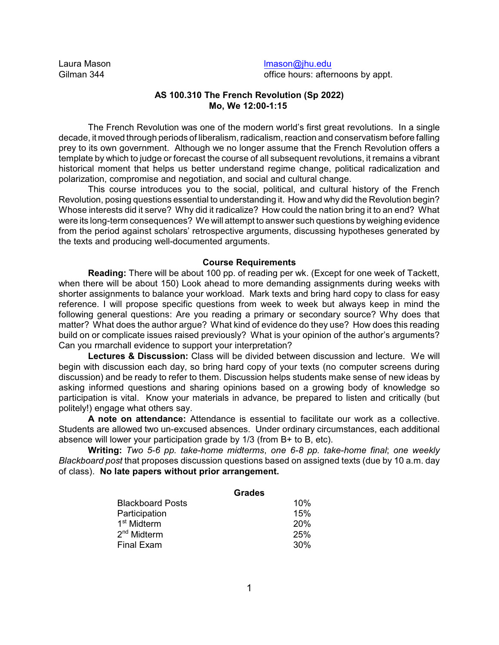Laura Mason Gilman 344

[lmason@jhu.edu](mailto:lmason@jhu.edu) office hours: afternoons by appt.

### **AS 100.310 The French Revolution (Sp 2022) Mo, We 12:00-1:15**

The French Revolution was one of the modern world's first great revolutions. In a single decade, it moved through periods of liberalism, radicalism, reaction and conservatism before falling prey to its own government. Although we no longer assume that the French Revolution offers a template by which to judge or forecast the course of all subsequent revolutions, it remains a vibrant historical moment that helps us better understand regime change, political radicalization and polarization, compromise and negotiation, and social and cultural change.

This course introduces you to the social, political, and cultural history of the French Revolution, posing questions essential to understanding it. How and why did the Revolution begin? Whose interests did it serve? Why did it radicalize? How could the nation bring it to an end? What were its long-term consequences? We will attempt to answer such questions by weighing evidence from the period against scholars' retrospective arguments, discussing hypotheses generated by the texts and producing well-documented arguments.

#### **Course Requirements**

**Reading:** There will be about 100 pp. of reading per wk. (Except for one week of Tackett, when there will be about 150) Look ahead to more demanding assignments during weeks with shorter assignments to balance your workload. Mark texts and bring hard copy to class for easy reference. I will propose specific questions from week to week but always keep in mind the following general questions: Are you reading a primary or secondary source? Why does that matter? What does the author argue? What kind of evidence do they use? How does this reading build on or complicate issues raised previously? What is your opinion of the author's arguments? Can you rmarchall evidence to support your interpretation?

**Lectures & Discussion:** Class will be divided between discussion and lecture. We will begin with discussion each day, so bring hard copy of your texts (no computer screens during discussion) and be ready to refer to them. Discussion helps students make sense of new ideas by asking informed questions and sharing opinions based on a growing body of knowledge so participation is vital. Know your materials in advance, be prepared to listen and critically (but politely!) engage what others say.

**A note on attendance:** Attendance is essential to facilitate our work as a collective. Students are allowed two un-excused absences. Under ordinary circumstances, each additional absence will lower your participation grade by 1/3 (from B+ to B, etc).

**Writing:** *Two 5-6 pp. take-home midterms*, *one 6-8 pp. take-home final*; *one weekly Blackboard post* that proposes discussion questions based on assigned texts (due by 10 a.m. day of class). **No late papers without prior arrangement.**

|                         | <b>Grades</b> |
|-------------------------|---------------|
| <b>Blackboard Posts</b> | 10%           |
| Participation           | 15%           |
| 1 <sup>st</sup> Midterm | <b>20%</b>    |
| 2 <sup>nd</sup> Midterm | 25%           |
| <b>Final Exam</b>       | 30%           |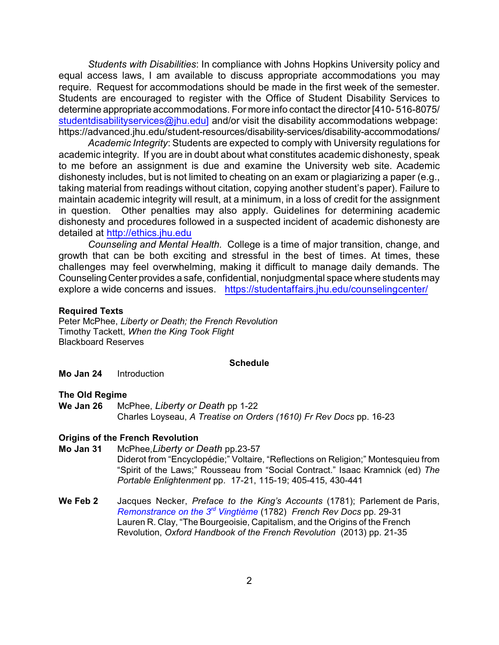*Students with Disabilities*: In compliance with Johns Hopkins University policy and equal access laws, I am available to discuss appropriate accommodations you may require. Request for accommodations should be made in the first week of the semester. Students are encouraged to register with the Office of Student Disability Services to determine appropriate accommodations. For more info contact the director [410- 516-8075/ [studentdisabilityservices@jhu.edu\] and/or](mailto:studentdisabilityservices@jhu.edu.) visit the disability accommodations webpage: https://advanced.jhu.edu/student-resources/disability-services/disability-accommodations/

*Academic Integrity*: Students are expected to comply with University regulations for academic integrity. If you are in doubt about what constitutes academic dishonesty, speak to me before an assignment is due and examine the University web site. Academic dishonesty includes, but is not limited to cheating on an exam or plagiarizing a paper (e.g., taking material from readings without citation, copying another student's paper). Failure to maintain academic integrity will result, at a minimum, in a loss of credit for the assignment in question. Other penalties may also apply. Guidelines for determining academic dishonesty and procedures followed in a suspected incident of academic dishonesty are detailed at [http://ethics.jhu.edu](http://ethics.jhu.edu/)

*Counseling and Mental Health.* College is a time of major transition, change, and growth that can be both exciting and stressful in the best of times. At times, these challenges may feel overwhelming, making it difficult to manage daily demands. The Counseling Center provides a safe, confidential, nonjudgmental space where students may explore a wide concerns and issues. <https://studentaffairs.jhu.edu/counselingcenter/>

#### **Required Texts**

Peter McPhee, *Liberty or Death; the French Revolution* Timothy Tackett, *When the King Took Flight* Blackboard Reserves

#### **Schedule**

**Mo Jan 24** Introduction

#### **The Old Regime**

**We Jan 26** McPhee, *Liberty or Death* pp 1-22 Charles Loyseau, *A Treatise on Orders (1610) Fr Rev Docs* pp. 16-23

#### **Origins of the French Revolution**

- **Mo Jan 31** McPhee,*Liberty or Death* pp.23-57 Diderot from "Encyclopédie;" Voltaire, "Reflections on Religion;" Montesquieu from "Spirit of the Laws;" Rousseau from "Social Contract." Isaac Kramnick (ed) *The Portable Enlightenment* pp. 17-21, 115-19; 405-415, 430-441
- **We Feb 2** Jacques Necker, *Preface to the King's Accounts* (1781); Parlement de Paris, *Remonstrance on the 3<sup>rd</sup> Vingtième* (1782) *French Rev Docs* pp. 29-31 Lauren R. Clay, "The Bourgeoisie, Capitalism, and the Origins of the French Revolution, *Oxford Handbook of the French Revolution* (2013) pp. 21-35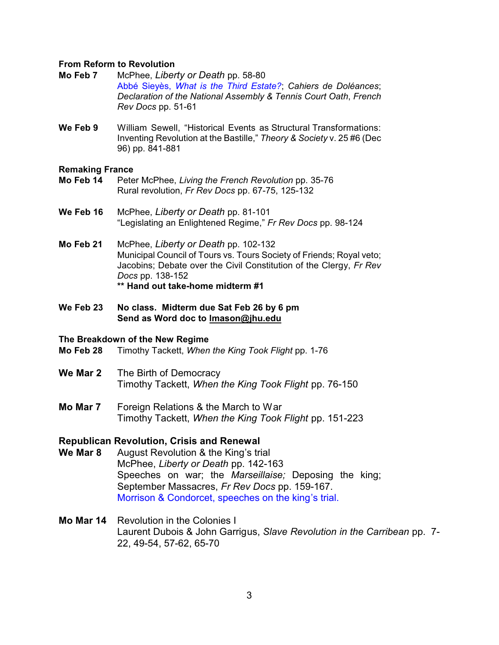### **From Reform to Revolution**

- **Mo Feb 7** McPhee, *Liberty or Death* pp. 58-80 Abbé Sieyès, *What is the Third Estate?*; *Cahiers de Doléances*; *Declaration of the National Assembly & Tennis Court Oath*, *French Rev Docs* pp. 51-61
- **We Feb 9** William Sewell, "Historical Events as Structural Transformations: Inventing Revolution at the Bastille," *Theory & Society* v. 25 #6 (Dec 96) pp. 841-881

### **Remaking France**

- **Mo Feb 14** Peter McPhee, *Living the French Revolution* pp. 35-76 Rural revolution, *Fr Rev Docs* pp. 67-75, 125-132
- **We Feb 16** McPhee, *Liberty or Death* pp. 81-101 "Legislating an Enlightened Regime," *Fr Rev Docs* pp. 98-124
- **Mo Feb 21** McPhee, *Liberty or Death* pp. 102-132 Municipal Council of Tours vs. Tours Society of Friends; Royal veto; Jacobins; Debate over the Civil Constitution of the Clergy, *Fr Rev Docs* pp. 138-152 **\*\* Hand out take-home midterm #1**
- **We Feb 23 No class. Midterm due Sat Feb 26 by 6 pm Send as Word doc to [lmason@jhu.edu](mailto:lmason@jhu.edu)**

### **The Breakdown of the New Regime**

- **Mo Feb 28** Timothy Tackett, *When the King Took Flight* pp. 1-76
- **We Mar 2** The Birth of Democracy Timothy Tackett, *When the King Took Flight* pp. 76-150
- **Mo Mar 7** Foreign Relations & the March to War Timothy Tackett, *When the King Took Flight* pp. 151-223

## **Republican Revolution, Crisis and Renewal**

- **We Mar 8** August Revolution & the King's trial McPhee, *Liberty or Death* pp. 142-163 Speeches on war; the *Marseillaise;* Deposing the king; September Massacres, *Fr Rev Docs* pp. 159-167. Morrison & Condorcet, speeches on the king's trial.
- **Mo Mar 14** Revolution in the Colonies I Laurent Dubois & John Garrigus, *Slave Revolution in the Carribean* pp. 7- 22, 49-54, 57-62, 65-70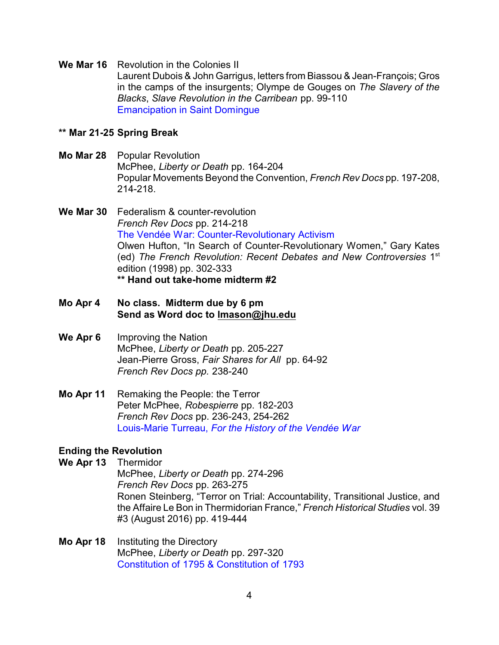**We Mar 16** Revolution in the Colonies II Laurent Dubois & John Garrigus, letters from Biassou & Jean-François; Gros in the camps of the insurgents; Olympe de Gouges on *The Slavery of the Blacks*, *Slave Revolution in the Carribean* pp. 99-110 Emancipation in Saint Domingue

## **\*\* Mar 21-25 Spring Break**

**Mo Mar 28** Popular Revolution McPhee, *Liberty or Death* pp. 164-204 Popular Movements Beyond the Convention, *French Rev Docs* pp. 197-208, 214-218.

**We Mar 30** Federalism & counter-revolution *French Rev Docs* pp. 214-218 The Vendée War: Counter-Revolutionary Activism Olwen Hufton, "In Search of Counter-Revolutionary Women," Gary Kates (ed) The French Revolution: Recent Debates and New Controversies 1<sup>st</sup> edition (1998) pp. 302-333 **\*\* Hand out take-home midterm #2**

- **Mo Apr 4 No class. Midterm due by 6 pm Send as Word doc to [lmason@jhu.edu](mailto:lmason@jhu.edu)**
- **We Apr 6** Improving the Nation McPhee, *Liberty or Death* pp. 205-227 Jean-Pierre Gross, *Fair Shares for All* pp. 64-92 *French Rev Docs pp.* 238-240
- **Mo Apr 11** Remaking the People: the Terror Peter McPhee, *Robespierre* pp. 182-203 *French Rev Docs* pp. 236-243, 254-262 Louis-Marie Turreau, *For the History of the Vendée War*

# **Ending the Revolution**

**We Apr 13** Thermidor

McPhee, *Liberty or Death* pp. 274-296 *French Rev Docs* pp. 263-275 Ronen Steinberg, "Terror on Trial: Accountability, Transitional Justice, and the Affaire Le Bon in Thermidorian France," *French Historical Studies* vol. 39 #3 (August 2016) pp. 419-444

**Mo Apr 18** Instituting the Directory McPhee, *Liberty or Death* pp. 297-320 Constitution of 1795 & Constitution of 1793